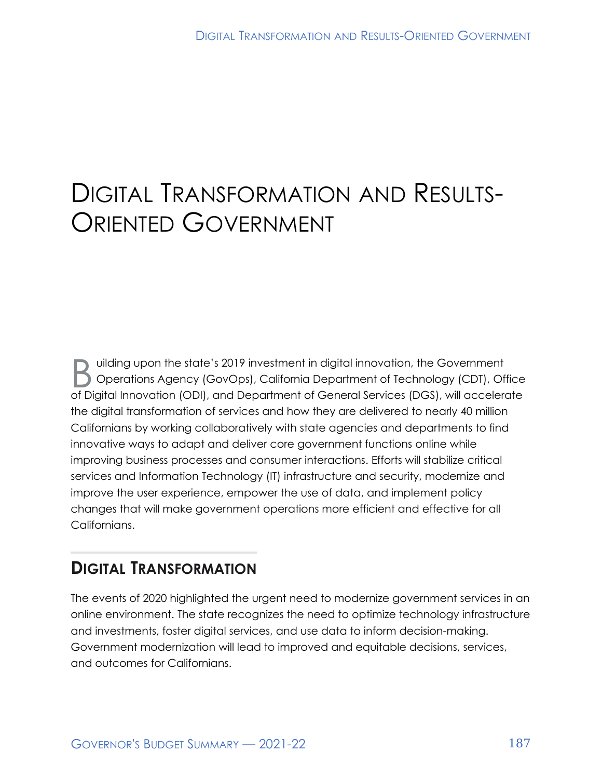# DIGITAL TRANSFORMATION AND RESULTS-ORIENTED GOVERNMENT

D uilding upon the state's 2019 investment in digital innovation, the Government<br>Operations Agency (GovOps), California Department of Technology (CDT), Of Operations Agency (GovOps), California Department of Technology (CDT), Office of Digital Innovation (ODI), and Department of General Services (DGS), will accelerate the digital transformation of services and how they are delivered to nearly 40 million Californians by working collaboratively with state agencies and departments to find innovative ways to adapt and deliver core government functions online while improving business processes and consumer interactions. Efforts will stabilize critical services and Information Technology (IT) infrastructure and security, modernize and improve the user experience, empower the use of data, and implement policy changes that will make government operations more efficient and effective for all Californians.

### **DIGITAL TRANSFORMATION**

The events of 2020 highlighted the urgent need to modernize government services in an online environment. The state recognizes the need to optimize technology infrastructure and investments, foster digital services, and use data to inform decision-making. Government modernization will lead to improved and equitable decisions, services, and outcomes for Californians.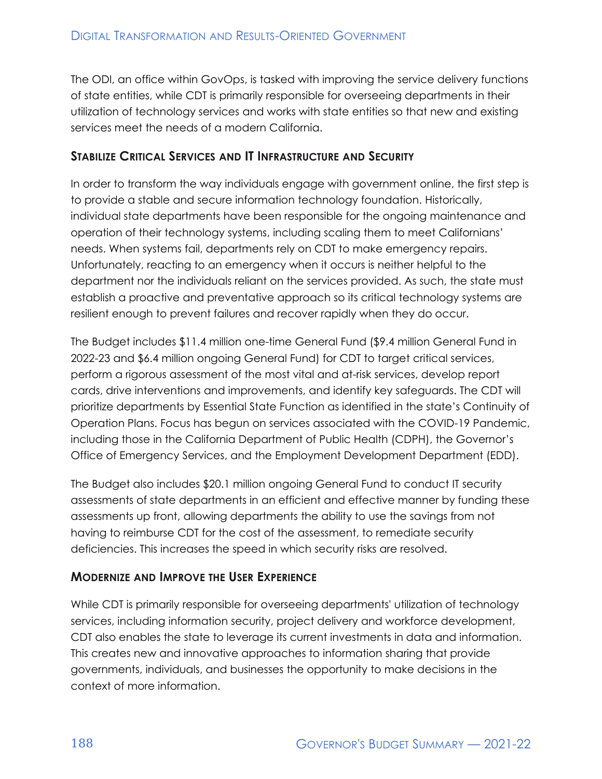The ODI, an office within GovOps, is tasked with improving the service delivery functions of state entities, while CDT is primarily responsible for overseeing departments in their utilization of technology services and works with state entities so that new and existing services meet the needs of a modern California.

#### **STABILIZE CRITICAL SERVICES AND IT INFRASTRUCTURE AND SECURITY**

In order to transform the way individuals engage with government online, the first step is to provide a stable and secure information technology foundation. Historically, individual state departments have been responsible for the ongoing maintenance and operation of their technology systems, including scaling them to meet Californians' needs. When systems fail, departments rely on CDT to make emergency repairs. Unfortunately, reacting to an emergency when it occurs is neither helpful to the department nor the individuals reliant on the services provided. As such, the state must establish a proactive and preventative approach so its critical technology systems are resilient enough to prevent failures and recover rapidly when they do occur.

The Budget includes \$11.4 million one-time General Fund (\$9.4 million General Fund in 2022-23 and \$6.4 million ongoing General Fund) for CDT to target critical services, perform a rigorous assessment of the most vital and at-risk services, develop report cards, drive interventions and improvements, and identify key safeguards. The CDT will prioritize departments by Essential State Function as identified in the state's Continuity of Operation Plans. Focus has begun on services associated with the COVID-19 Pandemic, including those in the California Department of Public Health (CDPH), the Governor's Office of Emergency Services, and the Employment Development Department (EDD).

The Budget also includes \$20.1 million ongoing General Fund to conduct IT security assessments of state departments in an efficient and effective manner by funding these assessments up front, allowing departments the ability to use the savings from not having to reimburse CDT for the cost of the assessment, to remediate security deficiencies. This increases the speed in which security risks are resolved.

#### **MODERNIZE AND IMPROVE THE USER EXPERIENCE**

While CDT is primarily responsible for overseeing departments' utilization of technology services, including information security, project delivery and workforce development, CDT also enables the state to leverage its current investments in data and information. This creates new and innovative approaches to information sharing that provide governments, individuals, and businesses the opportunity to make decisions in the context of more information.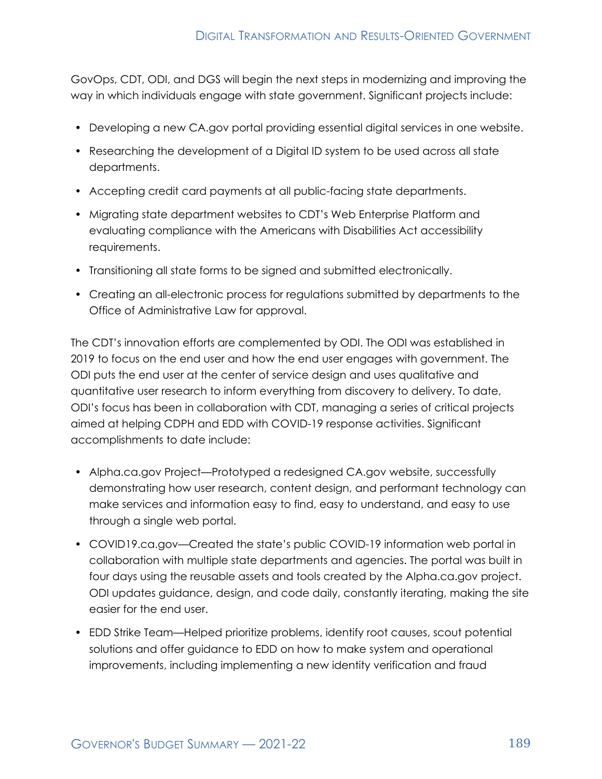GovOps, CDT, ODI, and DGS will begin the next steps in modernizing and improving the way in which individuals engage with state government. Significant projects include:

- Developing a new CA.gov portal providing essential digital services in one website.
- Researching the development of a Digital ID system to be used across all state departments.
- Accepting credit card payments at all public-facing state departments.
- Migrating state department websites to CDT's Web Enterprise Platform and evaluating compliance with the Americans with Disabilities Act accessibility requirements.
- Transitioning all state forms to be signed and submitted electronically.
- Creating an all-electronic process for regulations submitted by departments to the Office of Administrative Law for approval.

The CDT's innovation efforts are complemented by ODI. The ODI was established in 2019 to focus on the end user and how the end user engages with government. The ODI puts the end user at the center of service design and uses qualitative and quantitative user research to inform everything from discovery to delivery. To date, ODI's focus has been in collaboration with CDT, managing a series of critical projects aimed at helping CDPH and EDD with COVID-19 response activities. Significant accomplishments to date include:

- Alpha.ca.gov Project—Prototyped a redesigned CA.gov website, successfully demonstrating how user research, content design, and performant technology can make services and information easy to find, easy to understand, and easy to use through a single web portal.
- COVID19.ca.gov—Created the state's public COVID-19 information web portal in collaboration with multiple state departments and agencies. The portal was built in four days using the reusable assets and tools created by the Alpha.ca.gov project. ODI updates guidance, design, and code daily, constantly iterating, making the site easier for the end user.
- EDD Strike Team—Helped prioritize problems, identify root causes, scout potential solutions and offer guidance to EDD on how to make system and operational improvements, including implementing a new identity verification and fraud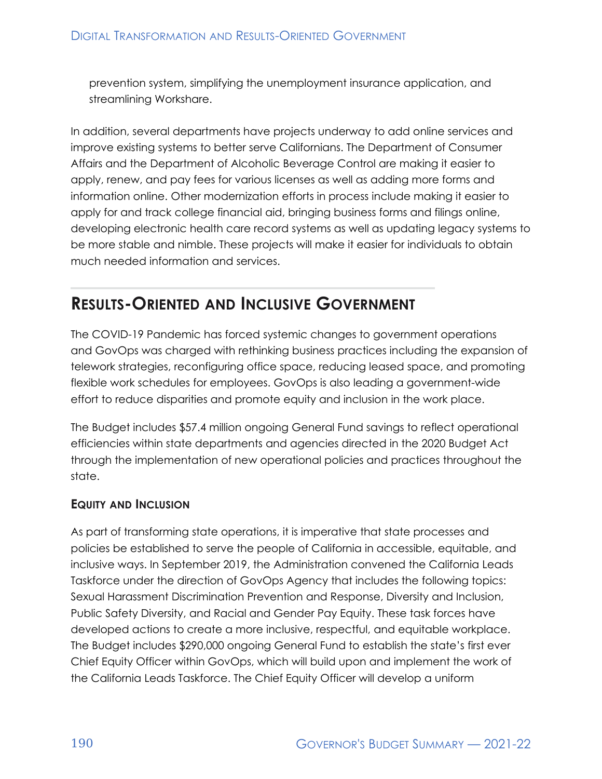prevention system, simplifying the unemployment insurance application, and streamlining Workshare.

In addition, several departments have projects underway to add online services and improve existing systems to better serve Californians. The Department of Consumer Affairs and the Department of Alcoholic Beverage Control are making it easier to apply, renew, and pay fees for various licenses as well as adding more forms and information online. Other modernization efforts in process include making it easier to apply for and track college financial aid, bringing business forms and filings online, developing electronic health care record systems as well as updating legacy systems to be more stable and nimble. These projects will make it easier for individuals to obtain much needed information and services.

## **RESULTS-ORIENTED AND INCLUSIVE GOVERNMENT**

The COVID-19 Pandemic has forced systemic changes to government operations and GovOps was charged with rethinking business practices including the expansion of telework strategies, reconfiguring office space, reducing leased space, and promoting flexible work schedules for employees. GovOps is also leading a government-wide effort to reduce disparities and promote equity and inclusion in the work place.

The Budget includes \$57.4 million ongoing General Fund savings to reflect operational efficiencies within state departments and agencies directed in the 2020 Budget Act through the implementation of new operational policies and practices throughout the state.

#### **EQUITY AND INCLUSION**

As part of transforming state operations, it is imperative that state processes and policies be established to serve the people of California in accessible, equitable, and inclusive ways. In September 2019, the Administration convened the California Leads Taskforce under the direction of GovOps Agency that includes the following topics: Sexual Harassment Discrimination Prevention and Response, Diversity and Inclusion, Public Safety Diversity, and Racial and Gender Pay Equity. These task forces have developed actions to create a more inclusive, respectful, and equitable workplace. The Budget includes \$290,000 ongoing General Fund to establish the state's first ever Chief Equity Officer within GovOps, which will build upon and implement the work of the California Leads Taskforce. The Chief Equity Officer will develop a uniform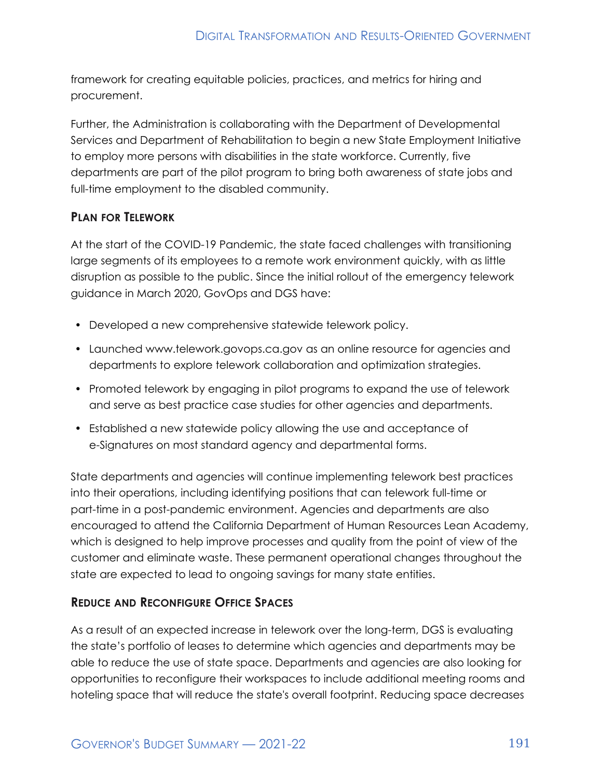framework for creating equitable policies, practices, and metrics for hiring and procurement.

Further, the Administration is collaborating with the Department of Developmental Services and Department of Rehabilitation to begin a new State Employment Initiative to employ more persons with disabilities in the state workforce. Currently, five departments are part of the pilot program to bring both awareness of state jobs and full-time employment to the disabled community.

#### **PLAN FOR TELEWORK**

At the start of the COVID-19 Pandemic, the state faced challenges with transitioning large segments of its employees to a remote work environment quickly, with as little disruption as possible to the public. Since the initial rollout of the emergency telework guidance in March 2020, GovOps and DGS have:

- Developed a new comprehensive statewide telework policy.
- Launched www.telework.govops.ca.gov as an online resource for agencies and departments to explore telework collaboration and optimization strategies.
- Promoted telework by engaging in pilot programs to expand the use of telework and serve as best practice case studies for other agencies and departments.
- Established a new statewide policy allowing the use and acceptance of e-Signatures on most standard agency and departmental forms.

State departments and agencies will continue implementing telework best practices into their operations, including identifying positions that can telework full-time or part-time in a post-pandemic environment. Agencies and departments are also encouraged to attend the California Department of Human Resources Lean Academy, which is designed to help improve processes and quality from the point of view of the customer and eliminate waste. These permanent operational changes throughout the state are expected to lead to ongoing savings for many state entities.

#### **REDUCE AND RECONFIGURE OFFICE SPACES**

As a result of an expected increase in telework over the long-term, DGS is evaluating the state's portfolio of leases to determine which agencies and departments may be able to reduce the use of state space. Departments and agencies are also looking for opportunities to reconfigure their workspaces to include additional meeting rooms and hoteling space that will reduce the state's overall footprint. Reducing space decreases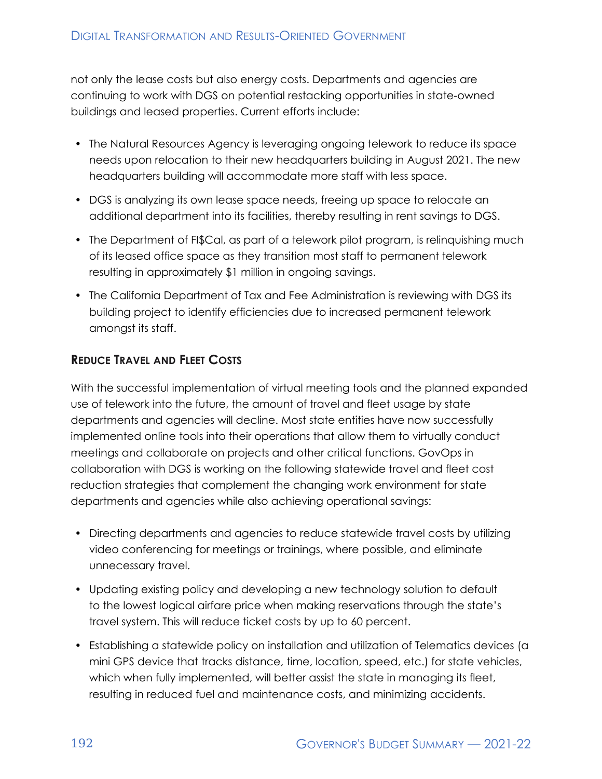not only the lease costs but also energy costs. Departments and agencies are continuing to work with DGS on potential restacking opportunities in state-owned buildings and leased properties. Current efforts include:

- The Natural Resources Agency is leveraging ongoing telework to reduce its space needs upon relocation to their new headquarters building in August 2021. The new headquarters building will accommodate more staff with less space.
- DGS is analyzing its own lease space needs, freeing up space to relocate an additional department into its facilities, thereby resulting in rent savings to DGS.
- The Department of FI\$Cal, as part of a telework pilot program, is relinquishing much of its leased office space as they transition most staff to permanent telework resulting in approximately \$1 million in ongoing savings.
- The California Department of Tax and Fee Administration is reviewing with DGS its building project to identify efficiencies due to increased permanent telework amongst its staff.

#### **REDUCE TRAVEL AND FLEET COSTS**

With the successful implementation of virtual meeting tools and the planned expanded use of telework into the future, the amount of travel and fleet usage by state departments and agencies will decline. Most state entities have now successfully implemented online tools into their operations that allow them to virtually conduct meetings and collaborate on projects and other critical functions. GovOps in collaboration with DGS is working on the following statewide travel and fleet cost reduction strategies that complement the changing work environment for state departments and agencies while also achieving operational savings:

- Directing departments and agencies to reduce statewide travel costs by utilizing video conferencing for meetings or trainings, where possible, and eliminate unnecessary travel.
- Updating existing policy and developing a new technology solution to default to the lowest logical airfare price when making reservations through the state's travel system. This will reduce ticket costs by up to 60 percent.
- Establishing a statewide policy on installation and utilization of Telematics devices (a mini GPS device that tracks distance, time, location, speed, etc.) for state vehicles, which when fully implemented, will better assist the state in managing its fleet, resulting in reduced fuel and maintenance costs, and minimizing accidents.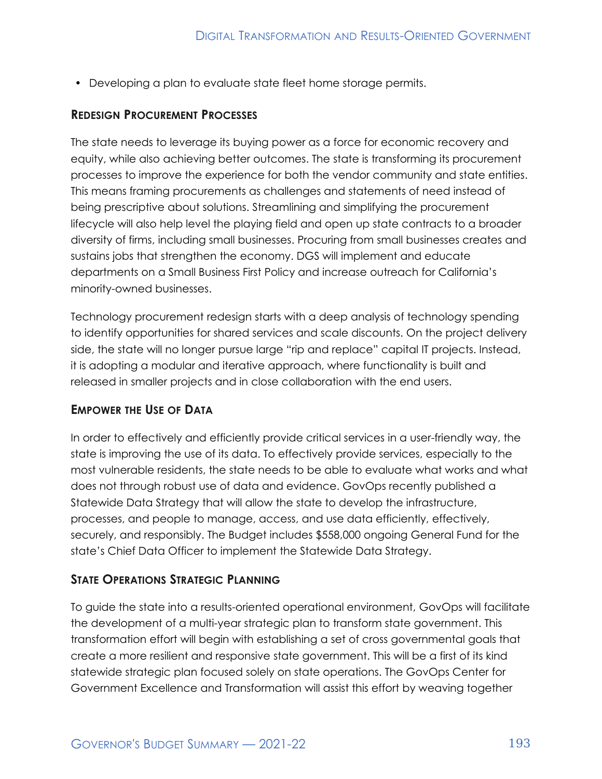• Developing a plan to evaluate state fleet home storage permits.

#### **REDESIGN PROCUREMENT PROCESSES**

The state needs to leverage its buying power as a force for economic recovery and equity, while also achieving better outcomes. The state is transforming its procurement processes to improve the experience for both the vendor community and state entities. This means framing procurements as challenges and statements of need instead of being prescriptive about solutions. Streamlining and simplifying the procurement lifecycle will also help level the playing field and open up state contracts to a broader diversity of firms, including small businesses. Procuring from small businesses creates and sustains jobs that strengthen the economy. DGS will implement and educate departments on a Small Business First Policy and increase outreach for California's minority-owned businesses.

Technology procurement redesign starts with a deep analysis of technology spending to identify opportunities for shared services and scale discounts. On the project delivery side, the state will no longer pursue large "rip and replace" capital IT projects. Instead, it is adopting a modular and iterative approach, where functionality is built and released in smaller projects and in close collaboration with the end users.

#### **EMPOWER THE USE OF DATA**

In order to effectively and efficiently provide critical services in a user-friendly way, the state is improving the use of its data. To effectively provide services, especially to the most vulnerable residents, the state needs to be able to evaluate what works and what does not through robust use of data and evidence. GovOps recently published a Statewide Data Strategy that will allow the state to develop the infrastructure, processes, and people to manage, access, and use data efficiently, effectively, securely, and responsibly. The Budget includes \$558,000 ongoing General Fund for the state's Chief Data Officer to implement the Statewide Data Strategy.

#### **STATE OPERATIONS STRATEGIC PLANNING**

To guide the state into a results-oriented operational environment, GovOps will facilitate the development of a multi-year strategic plan to transform state government. This transformation effort will begin with establishing a set of cross governmental goals that create a more resilient and responsive state government. This will be a first of its kind statewide strategic plan focused solely on state operations. The GovOps Center for Government Excellence and Transformation will assist this effort by weaving together